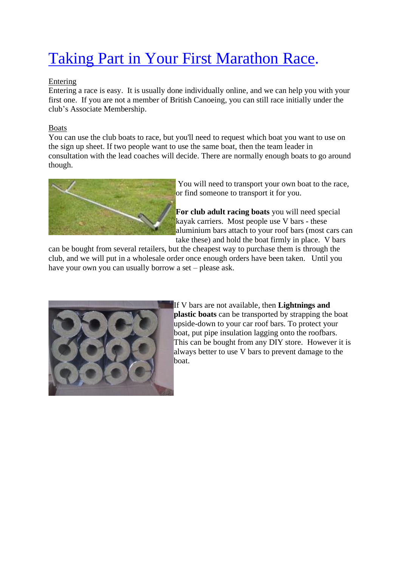# Taking Part in Your First Marathon Race.

# Entering

Entering a race is easy. It is usually done individually online, and we can help you with your first one. If you are not a member of British Canoeing, you can still race initially under the club's Associate Membership.

# Boats

You can use the club boats to race, but you'll need to request which boat you want to use on the sign up sheet. If two people want to use the same boat, then the team leader in consultation with the lead coaches will decide. There are normally enough boats to go around though.



You will need to transport your own boat to the race, or find someone to transport it for you.

**For club adult racing boats** you will need special kayak carriers. Most people use V bars - these aluminium bars attach to your roof bars (most cars can take these) and hold the boat firmly in place. V bars

can be bought from several retailers, but the cheapest way to purchase them is through the club, and we will put in a wholesale order once enough orders have been taken. Until you have your own you can usually borrow a set – please ask.



If V bars are not available, then **Lightnings and plastic boats** can be transported by strapping the boat upside-down to your car roof bars. To protect your boat, put pipe insulation lagging onto the roofbars. This can be bought from any DIY store. However it is always better to use V bars to prevent damage to the boat.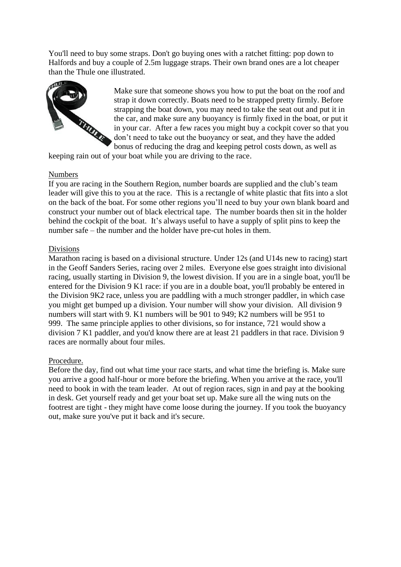You'll need to buy some straps. Don't go buying ones with a ratchet fitting: pop down to Halfords and buy a couple of 2.5m luggage straps. Their own brand ones are a lot cheaper than the Thule one illustrated.



Make sure that someone shows you how to put the boat on the roof and strap it down correctly. Boats need to be strapped pretty firmly. Before strapping the boat down, you may need to take the seat out and put it in the car, and make sure any buoyancy is firmly fixed in the boat, or put it in your car. After a few races you might buy a cockpit cover so that you don't need to take out the buoyancy or seat, and they have the added bonus of reducing the drag and keeping petrol costs down, as well as

keeping rain out of your boat while you are driving to the race.

#### Numbers

If you are racing in the Southern Region, number boards are supplied and the club's team leader will give this to you at the race. This is a rectangle of white plastic that fits into a slot on the back of the boat. For some other regions you'll need to buy your own blank board and construct your number out of black electrical tape. The number boards then sit in the holder behind the cockpit of the boat. It's always useful to have a supply of split pins to keep the number safe – the number and the holder have pre-cut holes in them.

#### Divisions

Marathon racing is based on a divisional structure. Under 12s (and U14s new to racing) start in the Geoff Sanders Series, racing over 2 miles. Everyone else goes straight into divisional racing, usually starting in Division 9, the lowest division. If you are in a single boat, you'll be entered for the Division 9 K1 race: if you are in a double boat, you'll probably be entered in the Division 9K2 race, unless you are paddling with a much stronger paddler, in which case you might get bumped up a division. Your number will show your division. All division 9 numbers will start with 9. K1 numbers will be 901 to 949; K2 numbers will be 951 to 999. The same principle applies to other divisions, so for instance, 721 would show a division 7 K1 paddler, and you'd know there are at least 21 paddlers in that race. Division 9 races are normally about four miles.

#### Procedure.

Before the day, find out what time your race starts, and what time the briefing is. Make sure you arrive a good half-hour or more before the briefing. When you arrive at the race, you'll need to book in with the team leader. At out of region races, sign in and pay at the booking in desk. Get yourself ready and get your boat set up. Make sure all the wing nuts on the footrest are tight - they might have come loose during the journey. If you took the buoyancy out, make sure you've put it back and it's secure.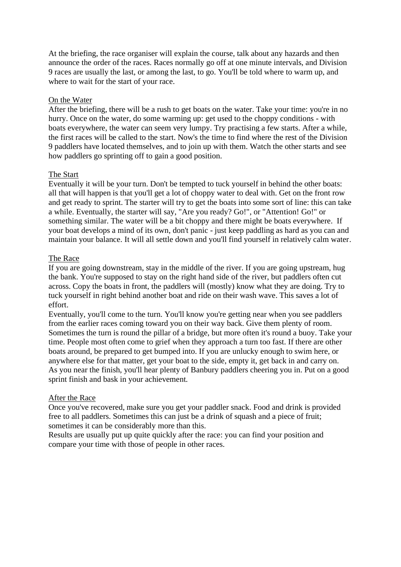At the briefing, the race organiser will explain the course, talk about any hazards and then announce the order of the races. Races normally go off at one minute intervals, and Division 9 races are usually the last, or among the last, to go. You'll be told where to warm up, and where to wait for the start of your race.

#### On the Water

After the briefing, there will be a rush to get boats on the water. Take your time: you're in no hurry. Once on the water, do some warming up: get used to the choppy conditions - with boats everywhere, the water can seem very lumpy. Try practising a few starts. After a while, the first races will be called to the start. Now's the time to find where the rest of the Division 9 paddlers have located themselves, and to join up with them. Watch the other starts and see how paddlers go sprinting off to gain a good position.

#### The Start

Eventually it will be your turn. Don't be tempted to tuck yourself in behind the other boats: all that will happen is that you'll get a lot of choppy water to deal with. Get on the front row and get ready to sprint. The starter will try to get the boats into some sort of line: this can take a while. Eventually, the starter will say, "Are you ready? Go!", or "Attention! Go!" or something similar. The water will be a bit choppy and there might be boats everywhere. If your boat develops a mind of its own, don't panic - just keep paddling as hard as you can and maintain your balance. It will all settle down and you'll find yourself in relatively calm water.

#### The Race

If you are going downstream, stay in the middle of the river. If you are going upstream, hug the bank. You're supposed to stay on the right hand side of the river, but paddlers often cut across. Copy the boats in front, the paddlers will (mostly) know what they are doing. Try to tuck yourself in right behind another boat and ride on their wash wave. This saves a lot of effort.

Eventually, you'll come to the turn. You'll know you're getting near when you see paddlers from the earlier races coming toward you on their way back. Give them plenty of room. Sometimes the turn is round the pillar of a bridge, but more often it's round a buoy. Take your time. People most often come to grief when they approach a turn too fast. If there are other boats around, be prepared to get bumped into. If you are unlucky enough to swim here, or anywhere else for that matter, get your boat to the side, empty it, get back in and carry on. As you near the finish, you'll hear plenty of Banbury paddlers cheering you in. Put on a good sprint finish and bask in your achievement.

#### After the Race

Once you've recovered, make sure you get your paddler snack. Food and drink is provided free to all paddlers. Sometimes this can just be a drink of squash and a piece of fruit; sometimes it can be considerably more than this.

Results are usually put up quite quickly after the race: you can find your position and compare your time with those of people in other races.